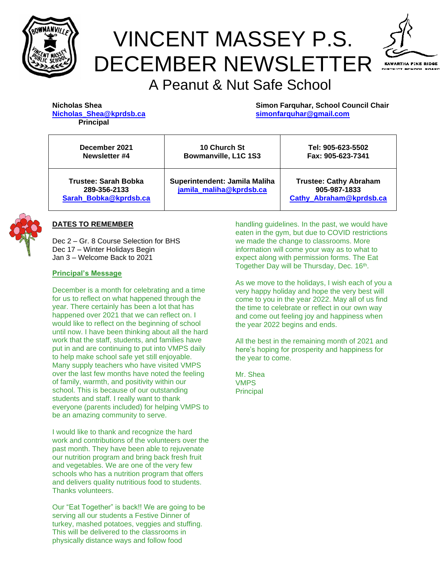

# VINCENT MASSEY P.S. DECEMBER NEWSLETTER



# A Peanut & Nut Safe School

| Nicholas Shea    |                         |  |  |  |
|------------------|-------------------------|--|--|--|
|                  | Nicholas Shea@kprdsb.ca |  |  |  |
| <b>Principal</b> |                         |  |  |  |

**Simon Farquhar, School Council Chair [Nicholas\\_Shea@kprdsb.ca](mailto:Nicholas_Shea@kprdsb.ca) [simonfarquhar@gmail.com](mailto:simonfarquhar@gmail.com)**

| December 2021                                                        | <b>10 Church St</b>                                      | Tel: 905-623-5502 |
|----------------------------------------------------------------------|----------------------------------------------------------|-------------------|
| Newsletter #4                                                        | Bowmanville, L1C 1S3                                     | Fax: 905-623-7341 |
| <b>Trustee: Sarah Bobka</b><br>289-356-2133<br>Sarah Bobka@kprdsb.ca | Superintendent: Jamila Maliha<br>jamila maliha@kprdsb.ca |                   |



Dec 2 – Gr. 8 Course Selection for BHS Dec 17 – Winter Holidays Begin Jan 3 – Welcome Back to 2021

#### **Principal's Message**

December is a month for celebrating and a time for us to reflect on what happened through the year. There certainly has been a lot that has happened over 2021 that we can reflect on. I would like to reflect on the beginning of school until now. I have been thinking about all the hard work that the staff, students, and families have put in and are continuing to put into VMPS daily to help make school safe yet still enjoyable. Many supply teachers who have visited VMPS over the last few months have noted the feeling of family, warmth, and positivity within our school. This is because of our outstanding students and staff. I really want to thank everyone (parents included) for helping VMPS to be an amazing community to serve.

I would like to thank and recognize the hard work and contributions of the volunteers over the past month. They have been able to rejuvenate our nutrition program and bring back fresh fruit and vegetables. We are one of the very few schools who has a nutrition program that offers and delivers quality nutritious food to students. Thanks volunteers.

Our "Eat Together" is back!! We are going to be serving all our students a Festive Dinner of turkey, mashed potatoes, veggies and stuffing. This will be delivered to the classrooms in physically distance ways and follow food

handling guidelines. In the past, we would have eaten in the gym, but due to COVID restrictions we made the change to classrooms. More information will come your way as to what to expect along with permission forms. The Eat Together Day will be Thursday, Dec. 16<sup>th</sup>.

As we move to the holidays, I wish each of you a very happy holiday and hope the very best will come to you in the year 2022. May all of us find the time to celebrate or reflect in our own way and come out feeling joy and happiness when the year 2022 begins and ends.

All the best in the remaining month of 2021 and here's hoping for prosperity and happiness for the year to come.

Mr. Shea VMPS **Principal**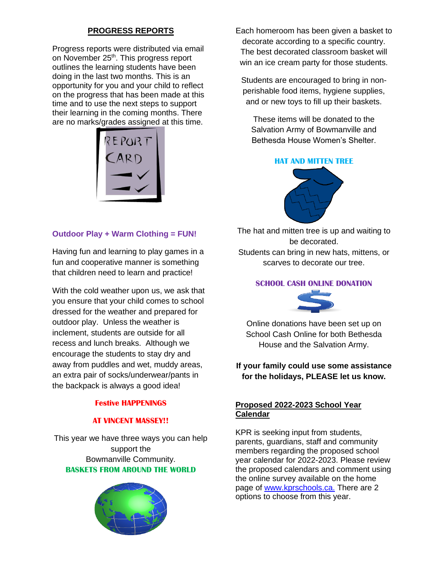# **PROGRESS REPORTS**

Progress reports were distributed via email on November 25<sup>th</sup>. This progress report outlines the learning students have been doing in the last two months. This is an opportunity for you and your child to reflect on the progress that has been made at this time and to use the next steps to support their learning in the coming months. There are no marks/grades assigned at this time.



#### **Outdoor Play + Warm Clothing = FUN!**

Having fun and learning to play games in a fun and cooperative manner is something that children need to learn and practice!

With the cold weather upon us, we ask that you ensure that your child comes to school dressed for the weather and prepared for outdoor play. Unless the weather is inclement, students are outside for all recess and lunch breaks. Although we encourage the students to stay dry and away from puddles and wet, muddy areas, an extra pair of socks/underwear/pants in the backpack is always a good idea!

#### **Festive HAPPENINGS**

#### **AT VINCENT MASSEY!!**

This year we have three ways you can help support the Bowmanville Community. **BASKETS FROM AROUND THE WORLD**



Each homeroom has been given a basket to decorate according to a specific country. The best decorated classroom basket will win an ice cream party for those students.

Students are encouraged to bring in nonperishable food items, hygiene supplies, and or new toys to fill up their baskets.

These items will be donated to the Salvation Army of Bowmanville and Bethesda House Women's Shelter.

#### **HAT AND MITTEN TREE**



The hat and mitten tree is up and waiting to be decorated. Students can bring in new hats, mittens, or scarves to decorate our tree.

#### **SCHOOL CASH ONLINE DONATION**



Online don[ations hav](http://www.pngall.com/dollar-png)e been set up on School Cash Online for both Bethesda House [and the Sa](https://creativecommons.org/licenses/by-nc/3.0/)lvation Army.

### **If your family could use some assistance for the holidays, PLEASE let us know.**

#### **Proposed 2022-2023 School Year Calendar**

KPR is seeking input from students, parents, guardians, staff and community members regarding the proposed school year calendar for 2022-2023. Please review the proposed calendars and comment using the online survey available on the home page of [www.kprschools.ca.](http://www.kprschools.ca/) There are 2 options to choose from this year.